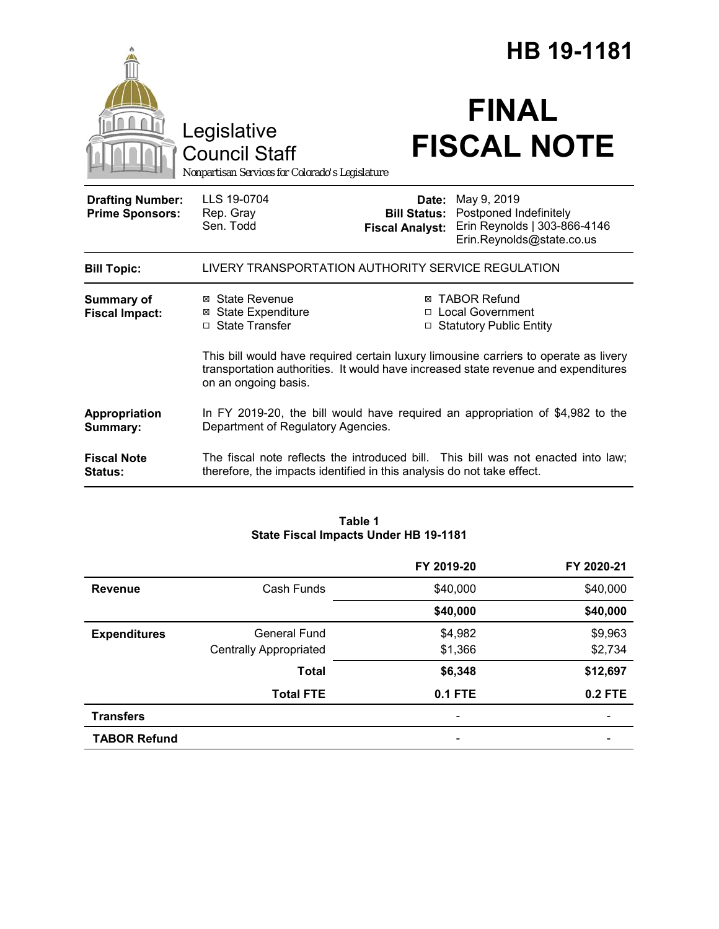|                                                   |                                                                                                                                                                                                    | HB 19-1181                      |                                                                                                                        |  |
|---------------------------------------------------|----------------------------------------------------------------------------------------------------------------------------------------------------------------------------------------------------|---------------------------------|------------------------------------------------------------------------------------------------------------------------|--|
|                                                   | Legislative<br><b>Council Staff</b><br>Nonpartisan Services for Colorado's Legislature                                                                                                             |                                 | <b>FINAL</b><br><b>FISCAL NOTE</b>                                                                                     |  |
| <b>Drafting Number:</b><br><b>Prime Sponsors:</b> | LLS 19-0704<br>Rep. Gray<br>Sen. Todd                                                                                                                                                              | Date:<br><b>Fiscal Analyst:</b> | May 9, 2019<br><b>Bill Status: Postponed Indefinitely</b><br>Erin Reynolds   303-866-4146<br>Erin.Reynolds@state.co.us |  |
| <b>Bill Topic:</b>                                | LIVERY TRANSPORTATION AUTHORITY SERVICE REGULATION                                                                                                                                                 |                                 |                                                                                                                        |  |
| Summary of<br><b>Fiscal Impact:</b>               | ⊠ State Revenue<br><b>⊠</b> State Expenditure<br>□ State Transfer                                                                                                                                  |                                 | ⊠ TABOR Refund<br>□ Local Government<br>□ Statutory Public Entity                                                      |  |
|                                                   | This bill would have required certain luxury limousine carriers to operate as livery<br>transportation authorities. It would have increased state revenue and expenditures<br>on an ongoing basis. |                                 |                                                                                                                        |  |
| Appropriation<br>Summary:                         | Department of Regulatory Agencies.                                                                                                                                                                 |                                 | In FY 2019-20, the bill would have required an appropriation of \$4,982 to the                                         |  |
| <b>Fiscal Note</b><br><b>Status:</b>              | therefore, the impacts identified in this analysis do not take effect.                                                                                                                             |                                 | The fiscal note reflects the introduced bill. This bill was not enacted into law;                                      |  |

#### **Table 1 State Fiscal Impacts Under HB 19-1181**

|                     |                               | FY 2019-20     | FY 2020-21     |
|---------------------|-------------------------------|----------------|----------------|
| <b>Revenue</b>      | Cash Funds                    | \$40,000       | \$40,000       |
|                     |                               | \$40,000       | \$40,000       |
| <b>Expenditures</b> | General Fund                  | \$4,982        | \$9,963        |
|                     | <b>Centrally Appropriated</b> | \$1,366        | \$2,734        |
|                     | <b>Total</b>                  | \$6,348        | \$12,697       |
|                     | <b>Total FTE</b>              | <b>0.1 FTE</b> | <b>0.2 FTE</b> |
| <b>Transfers</b>    |                               |                |                |
| <b>TABOR Refund</b> |                               |                |                |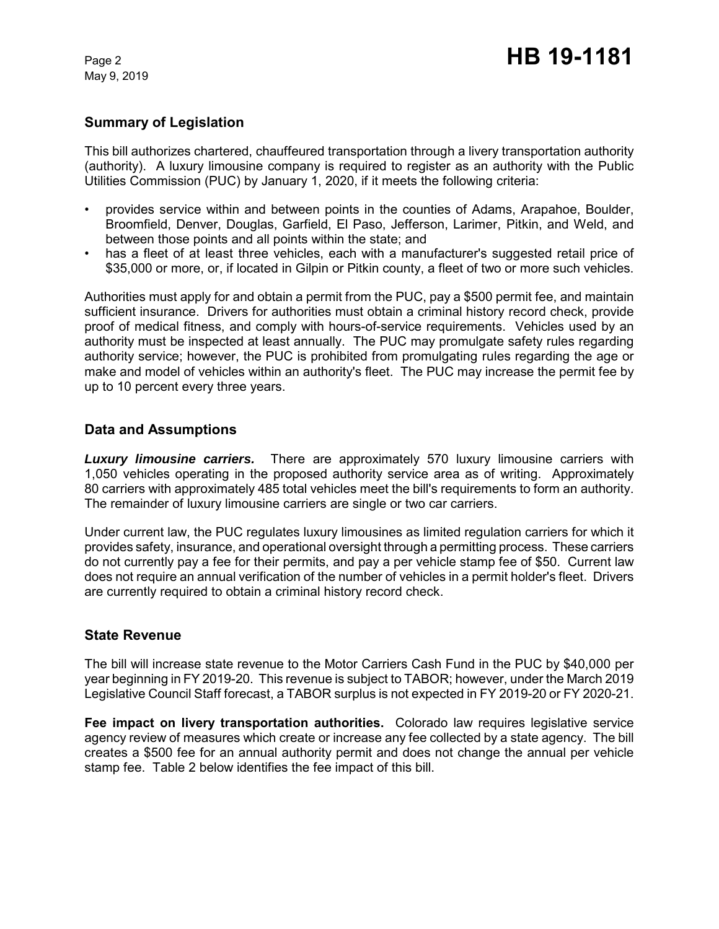May 9, 2019

#### **Summary of Legislation**

This bill authorizes chartered, chauffeured transportation through a livery transportation authority (authority). A luxury limousine company is required to register as an authority with the Public Utilities Commission (PUC) by January 1, 2020, if it meets the following criteria:

- provides service within and between points in the counties of Adams, Arapahoe, Boulder, Broomfield, Denver, Douglas, Garfield, El Paso, Jefferson, Larimer, Pitkin, and Weld, and between those points and all points within the state; and
- has a fleet of at least three vehicles, each with a manufacturer's suggested retail price of \$35,000 or more, or, if located in Gilpin or Pitkin county, a fleet of two or more such vehicles.

Authorities must apply for and obtain a permit from the PUC, pay a \$500 permit fee, and maintain sufficient insurance. Drivers for authorities must obtain a criminal history record check, provide proof of medical fitness, and comply with hours-of-service requirements. Vehicles used by an authority must be inspected at least annually. The PUC may promulgate safety rules regarding authority service; however, the PUC is prohibited from promulgating rules regarding the age or make and model of vehicles within an authority's fleet. The PUC may increase the permit fee by up to 10 percent every three years.

#### **Data and Assumptions**

*Luxury limousine carriers.* There are approximately 570 luxury limousine carriers with 1,050 vehicles operating in the proposed authority service area as of writing. Approximately 80 carriers with approximately 485 total vehicles meet the bill's requirements to form an authority. The remainder of luxury limousine carriers are single or two car carriers.

Under current law, the PUC regulates luxury limousines as limited regulation carriers for which it provides safety, insurance, and operational oversight through a permitting process. These carriers do not currently pay a fee for their permits, and pay a per vehicle stamp fee of \$50. Current law does not require an annual verification of the number of vehicles in a permit holder's fleet. Drivers are currently required to obtain a criminal history record check.

#### **State Revenue**

The bill will increase state revenue to the Motor Carriers Cash Fund in the PUC by \$40,000 per year beginning in FY 2019-20. This revenue is subject to TABOR; however, under the March 2019 Legislative Council Staff forecast, a TABOR surplus is not expected in FY 2019-20 or FY 2020-21.

**Fee impact on livery transportation authorities.** Colorado law requires legislative service agency review of measures which create or increase any fee collected by a state agency. The bill creates a \$500 fee for an annual authority permit and does not change the annual per vehicle stamp fee. Table 2 below identifies the fee impact of this bill.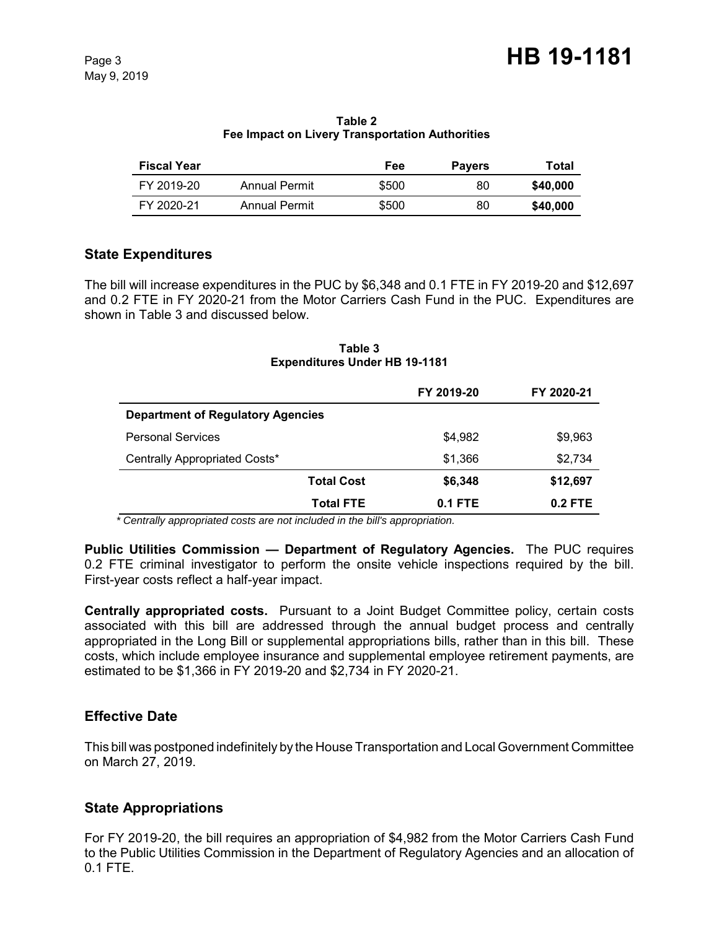| <b>Fiscal Year</b> |                      | Fee   | <b>Payers</b> | Total    |
|--------------------|----------------------|-------|---------------|----------|
| FY 2019-20         | Annual Permit        | \$500 | 80            | \$40,000 |
| FY 2020-21         | <b>Annual Permit</b> | \$500 | 80            | \$40,000 |

**Table 2 Fee Impact on Livery Transportation Authorities**

# **State Expenditures**

The bill will increase expenditures in the PUC by \$6,348 and 0.1 FTE in FY 2019-20 and \$12,697 and 0.2 FTE in FY 2020-21 from the Motor Carriers Cash Fund in the PUC. Expenditures are shown in Table 3 and discussed below.

| Table 3                              |  |  |  |
|--------------------------------------|--|--|--|
| <b>Expenditures Under HB 19-1181</b> |  |  |  |

|                                          |                   | FY 2019-20 | FY 2020-21 |
|------------------------------------------|-------------------|------------|------------|
| <b>Department of Regulatory Agencies</b> |                   |            |            |
| <b>Personal Services</b>                 |                   | \$4,982    | \$9,963    |
| Centrally Appropriated Costs*            |                   | \$1,366    | \$2,734    |
|                                          | <b>Total Cost</b> | \$6,348    | \$12,697   |
|                                          | <b>Total FTE</b>  | $0.1$ FTE  | $0.2$ FTE  |

 *\* Centrally appropriated costs are not included in the bill's appropriation.*

**Public Utilities Commission — Department of Regulatory Agencies.** The PUC requires 0.2 FTE criminal investigator to perform the onsite vehicle inspections required by the bill. First-year costs reflect a half-year impact.

**Centrally appropriated costs.** Pursuant to a Joint Budget Committee policy, certain costs associated with this bill are addressed through the annual budget process and centrally appropriated in the Long Bill or supplemental appropriations bills, rather than in this bill. These costs, which include employee insurance and supplemental employee retirement payments, are estimated to be \$1,366 in FY 2019-20 and \$2,734 in FY 2020-21.

# **Effective Date**

This bill was postponed indefinitely by the House Transportation and Local Government Committee on March 27, 2019.

# **State Appropriations**

For FY 2019-20, the bill requires an appropriation of \$4,982 from the Motor Carriers Cash Fund to the Public Utilities Commission in the Department of Regulatory Agencies and an allocation of 0.1 FTE.